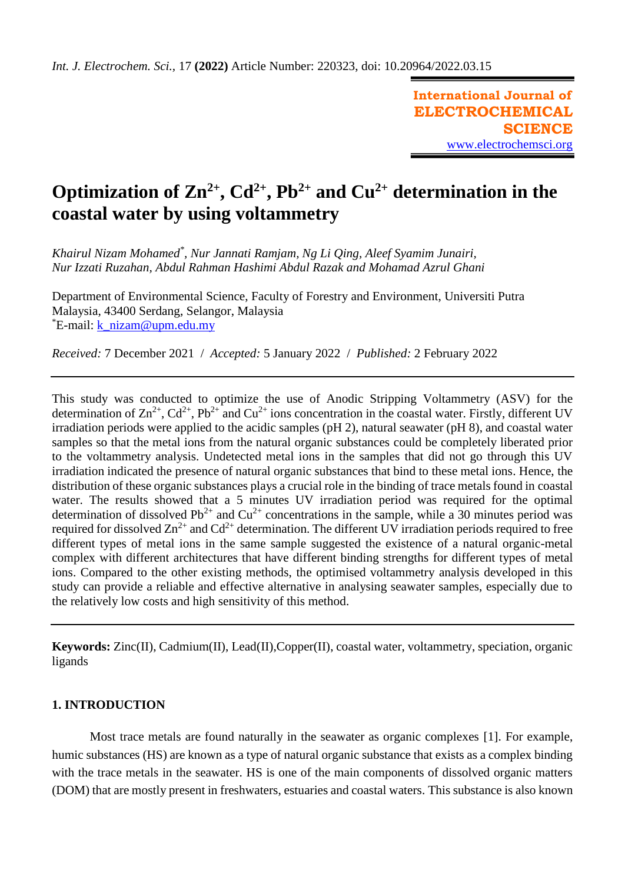**International Journal of ELECTROCHEMICAL SCIENCE** [www.electrochemsci.org](http://www.electrochemsci.org/)

# **Optimization** of  $\text{Zn}^{2+}$ ,  $\text{Cd}^{2+}$ ,  $\text{Pb}^{2+}$  and  $\text{Cu}^{2+}$  determination in the **coastal water by using voltammetry**

*Khairul Nizam Mohamed\* , Nur Jannati Ramjam, Ng Li Qing, Aleef Syamim Junairi, Nur Izzati Ruzahan, Abdul Rahman Hashimi Abdul Razak and Mohamad Azrul Ghani*

Department of Environmental Science, Faculty of Forestry and Environment, Universiti Putra Malaysia, 43400 Serdang, Selangor, Malaysia \*E-mail: [k\\_nizam@upm.edu.my](mailto:k_nizam@upm.edu.my)

*Received:* 7 December 2021/ *Accepted:* 5 January 2022 / *Published:* 2 February 2022

This study was conducted to optimize the use of Anodic Stripping Voltammetry (ASV) for the determination of  $\text{Zn}^{2+}$ ,  $\text{Cd}^{2+}$ ,  $\text{Pb}^{2+}$  and  $\text{Cu}^{2+}$  ions concentration in the coastal water. Firstly, different UV irradiation periods were applied to the acidic samples (pH 2), natural seawater (pH 8), and coastal water samples so that the metal ions from the natural organic substances could be completely liberated prior to the voltammetry analysis. Undetected metal ions in the samples that did not go through this UV irradiation indicated the presence of natural organic substances that bind to these metal ions. Hence, the distribution of these organic substances plays a crucial role in the binding of trace metals found in coastal water. The results showed that a 5 minutes UV irradiation period was required for the optimal determination of dissolved  $Pb^{2+}$  and  $Cu^{2+}$  concentrations in the sample, while a 30 minutes period was required for dissolved  $\text{Zn}^{2+}$  and  $\text{Cd}^{2+}$  determination. The different UV irradiation periods required to free different types of metal ions in the same sample suggested the existence of a natural organic-metal complex with different architectures that have different binding strengths for different types of metal ions. Compared to the other existing methods, the optimised voltammetry analysis developed in this study can provide a reliable and effective alternative in analysing seawater samples, especially due to the relatively low costs and high sensitivity of this method.

**Keywords:** Zinc(II), Cadmium(II), Lead(II),Copper(II), coastal water, voltammetry, speciation, organic ligands

# **1. INTRODUCTION**

Most trace metals are found naturally in the seawater as organic complexes [1]. For example, humic substances (HS) are known as a type of natural organic substance that exists as a complex binding with the trace metals in the seawater. HS is one of the main components of dissolved organic matters (DOM) that are mostly present in freshwaters, estuaries and coastal waters. This substance is also known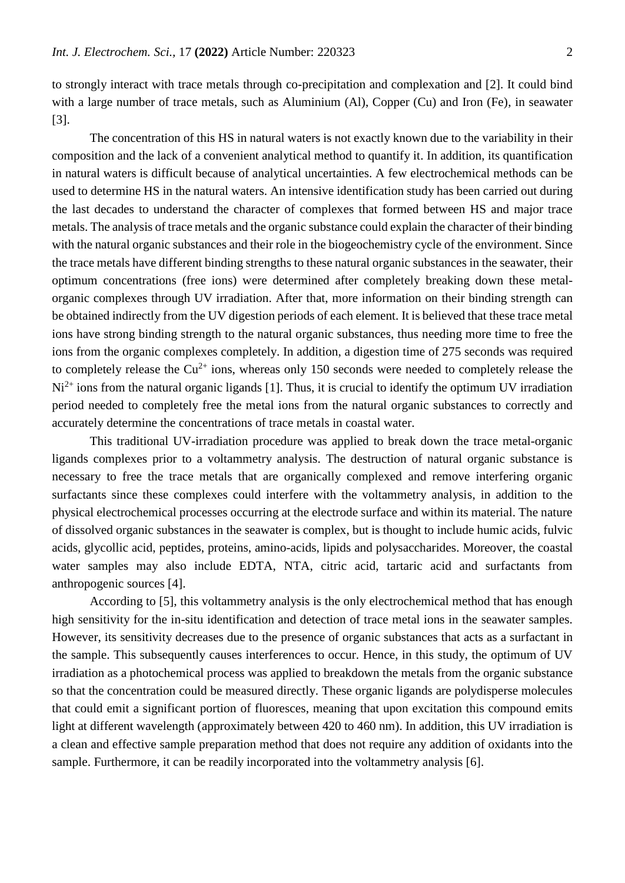to strongly interact with trace metals through co-precipitation and complexation and [2]. It could bind with a large number of trace metals, such as Aluminium (Al), Copper (Cu) and Iron (Fe), in seawater [3].

The concentration of this HS in natural waters is not exactly known due to the variability in their composition and the lack of a convenient analytical method to quantify it. In addition, its quantification in natural waters is difficult because of analytical uncertainties. A few electrochemical methods can be used to determine HS in the natural waters. An intensive identification study has been carried out during the last decades to understand the character of complexes that formed between HS and major trace metals. The analysis of trace metals and the organic substance could explain the character of their binding with the natural organic substances and their role in the biogeochemistry cycle of the environment. Since the trace metals have different binding strengths to these natural organic substances in the seawater, their optimum concentrations (free ions) were determined after completely breaking down these metalorganic complexes through UV irradiation. After that, more information on their binding strength can be obtained indirectly from the UV digestion periods of each element. It is believed that these trace metal ions have strong binding strength to the natural organic substances, thus needing more time to free the ions from the organic complexes completely. In addition, a digestion time of 275 seconds was required to completely release the  $Cu^{2+}$  ions, whereas only 150 seconds were needed to completely release the  $Ni<sup>2+</sup>$  ions from the natural organic ligands [1]. Thus, it is crucial to identify the optimum UV irradiation period needed to completely free the metal ions from the natural organic substances to correctly and accurately determine the concentrations of trace metals in coastal water.

This traditional UV-irradiation procedure was applied to break down the trace metal-organic ligands complexes prior to a voltammetry analysis. The destruction of natural organic substance is necessary to free the trace metals that are organically complexed and remove interfering organic surfactants since these complexes could interfere with the voltammetry analysis, in addition to the physical electrochemical processes occurring at the electrode surface and within its material. The nature of dissolved organic substances in the seawater is complex, but is thought to include humic acids, fulvic acids, glycollic acid, peptides, proteins, amino-acids, lipids and polysaccharides. Moreover, the coastal water samples may also include EDTA, NTA, citric acid, tartaric acid and surfactants from anthropogenic sources [4].

According to [5], this voltammetry analysis is the only electrochemical method that has enough high sensitivity for the in-situ identification and detection of trace metal ions in the seawater samples. However, its sensitivity decreases due to the presence of organic substances that acts as a surfactant in the sample. This subsequently causes interferences to occur. Hence, in this study, the optimum of UV irradiation as a photochemical process was applied to breakdown the metals from the organic substance so that the concentration could be measured directly. These organic ligands are polydisperse molecules that could emit a significant portion of fluoresces, meaning that upon excitation this compound emits light at different wavelength (approximately between 420 to 460 nm). In addition, this UV irradiation is a clean and effective sample preparation method that does not require any addition of oxidants into the sample. Furthermore, it can be readily incorporated into the voltammetry analysis [6].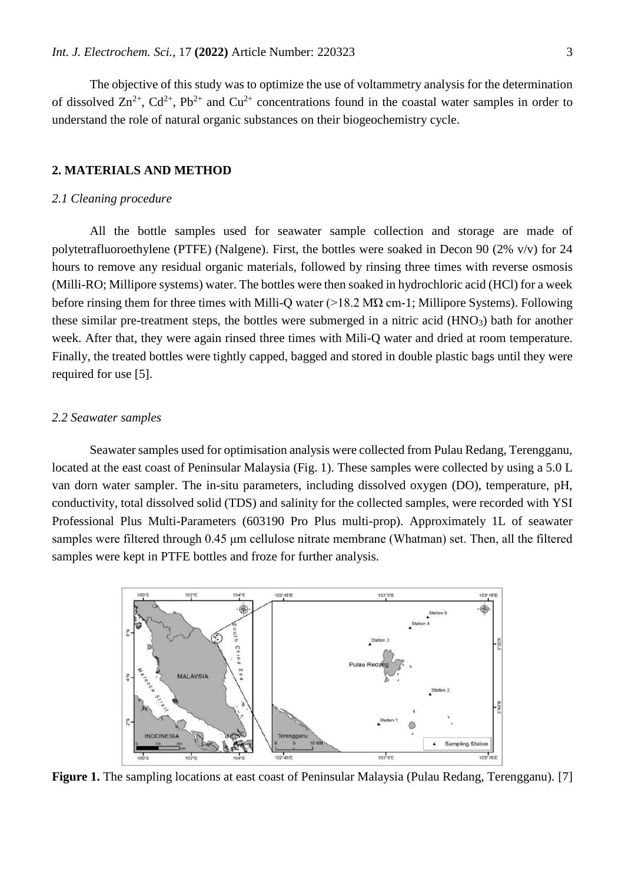The objective of this study was to optimize the use of voltammetry analysis for the determination of dissolved  $\text{Zn}^{2+}$ ,  $\text{Cd}^{2+}$ ,  $\text{Pb}^{2+}$  and  $\text{Cu}^{2+}$  concentrations found in the coastal water samples in order to understand the role of natural organic substances on their biogeochemistry cycle.

#### **2. MATERIALS AND METHOD**

#### *2.1 Cleaning procedure*

All the bottle samples used for seawater sample collection and storage are made of polytetrafluoroethylene (PTFE) (Nalgene). First, the bottles were soaked in Decon 90 (2% v/v) for 24 hours to remove any residual organic materials, followed by rinsing three times with reverse osmosis (Milli-RO; Millipore systems) water. The bottles were then soaked in hydrochloric acid (HCl) for a week before rinsing them for three times with Milli-Q water (>18.2 MΏ cm-1; Millipore Systems). Following these similar pre-treatment steps, the bottles were submerged in a nitric acid  $(HNO<sub>3</sub>)$  bath for another week. After that, they were again rinsed three times with Mili-Q water and dried at room temperature. Finally, the treated bottles were tightly capped, bagged and stored in double plastic bags until they were required for use [5].

#### *2.2 Seawater samples*

Seawater samples used for optimisation analysis were collected from Pulau Redang, Terengganu, located at the east coast of Peninsular Malaysia (Fig. 1). These samples were collected by using a 5.0 L van dorn water sampler. The in-situ parameters, including dissolved oxygen (DO), temperature, pH, conductivity, total dissolved solid (TDS) and salinity for the collected samples, were recorded with YSI Professional Plus Multi-Parameters (603190 Pro Plus multi-prop). Approximately 1L of seawater samples were filtered through 0.45 μm cellulose nitrate membrane (Whatman) set. Then, all the filtered samples were kept in PTFE bottles and froze for further analysis.



**Figure 1.** The sampling locations at east coast of Peninsular Malaysia (Pulau Redang, Terengganu). [7]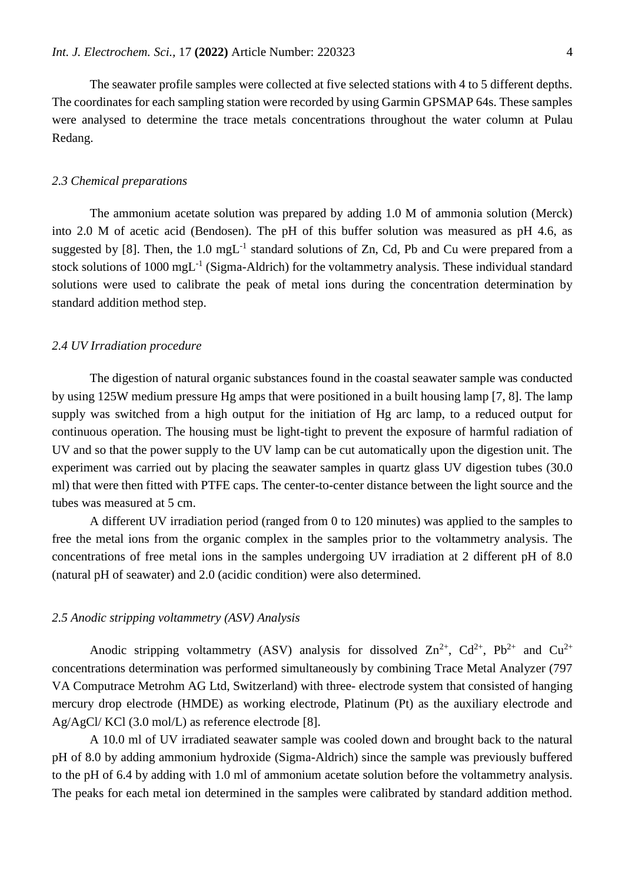The seawater profile samples were collected at five selected stations with 4 to 5 different depths. The coordinates for each sampling station were recorded by using Garmin GPSMAP 64s. These samples were analysed to determine the trace metals concentrations throughout the water column at Pulau Redang.

# *2.3 Chemical preparations*

The ammonium acetate solution was prepared by adding 1.0 M of ammonia solution (Merck) into 2.0 M of acetic acid (Bendosen). The pH of this buffer solution was measured as pH 4.6, as suggested by [8]. Then, the  $1.0 \text{ mgL}^{-1}$  standard solutions of Zn, Cd, Pb and Cu were prepared from a stock solutions of 1000 mgL<sup>-1</sup> (Sigma-Aldrich) for the voltammetry analysis. These individual standard solutions were used to calibrate the peak of metal ions during the concentration determination by standard addition method step.

## *2.4 UV Irradiation procedure*

The digestion of natural organic substances found in the coastal seawater sample was conducted by using 125W medium pressure Hg amps that were positioned in a built housing lamp [7, 8]. The lamp supply was switched from a high output for the initiation of Hg arc lamp, to a reduced output for continuous operation. The housing must be light-tight to prevent the exposure of harmful radiation of UV and so that the power supply to the UV lamp can be cut automatically upon the digestion unit. The experiment was carried out by placing the seawater samples in quartz glass UV digestion tubes (30.0 ml) that were then fitted with PTFE caps. The center-to-center distance between the light source and the tubes was measured at 5 cm.

A different UV irradiation period (ranged from 0 to 120 minutes) was applied to the samples to free the metal ions from the organic complex in the samples prior to the voltammetry analysis. The concentrations of free metal ions in the samples undergoing UV irradiation at 2 different pH of 8.0 (natural pH of seawater) and 2.0 (acidic condition) were also determined.

#### *2.5 Anodic stripping voltammetry (ASV) Analysis*

Anodic stripping voltammetry (ASV) analysis for dissolved  $\text{Zn}^{2+}$ ,  $\text{Cd}^{2+}$ ,  $\text{Pb}^{2+}$  and  $\text{Cu}^{2+}$ concentrations determination was performed simultaneously by combining Trace Metal Analyzer (797 VA Computrace Metrohm AG Ltd, Switzerland) with three- electrode system that consisted of hanging mercury drop electrode (HMDE) as working electrode, Platinum (Pt) as the auxiliary electrode and Ag/AgCl/ KCl (3.0 mol/L) as reference electrode [8].

A 10.0 ml of UV irradiated seawater sample was cooled down and brought back to the natural pH of 8.0 by adding ammonium hydroxide (Sigma-Aldrich) since the sample was previously buffered to the pH of 6.4 by adding with 1.0 ml of ammonium acetate solution before the voltammetry analysis. The peaks for each metal ion determined in the samples were calibrated by standard addition method.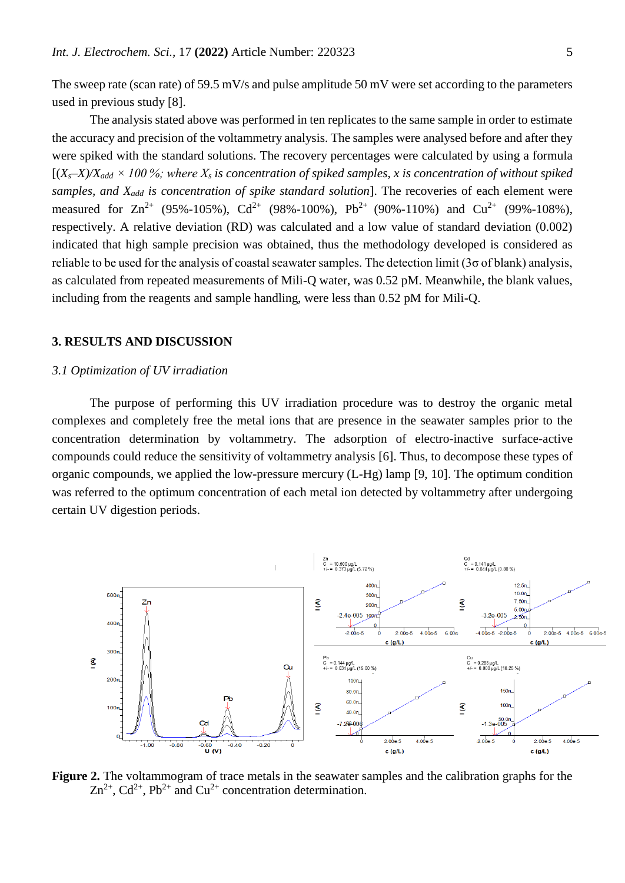The sweep rate (scan rate) of 59.5 mV/s and pulse amplitude 50 mV were set according to the parameters used in previous study [8].

The analysis stated above was performed in ten replicates to the same sample in order to estimate the accuracy and precision of the voltammetry analysis. The samples were analysed before and after they were spiked with the standard solutions. The recovery percentages were calculated by using a formula  $[(X<sub>s</sub>-X) / X<sub>add</sub> \times 100\%]$ ; where  $X<sub>s</sub>$  is concentration of spiked samples, x is concentration of without spiked *samples, and Xadd is concentration of spike standard solution*]. The recoveries of each element were measured for  $\text{Zn}^{2+}$  (95%-105%),  $\text{Cd}^{2+}$  (98%-100%), Pb<sup>2+</sup> (90%-110%) and  $\text{Cu}^{2+}$  (99%-108%), respectively. A relative deviation (RD) was calculated and a low value of standard deviation (0.002) indicated that high sample precision was obtained, thus the methodology developed is considered as reliable to be used for the analysis of coastal seawater samples. The detection limit ( $3\sigma$  of blank) analysis, as calculated from repeated measurements of Mili-Q water, was 0.52 pM. Meanwhile, the blank values, including from the reagents and sample handling, were less than 0.52 pM for Mili-Q.

## **3. RESULTS AND DISCUSSION**

#### *3.1 Optimization of UV irradiation*

The purpose of performing this UV irradiation procedure was to destroy the organic metal complexes and completely free the metal ions that are presence in the seawater samples prior to the concentration determination by voltammetry. The adsorption of electro-inactive surface-active compounds could reduce the sensitivity of voltammetry analysis [6]. Thus, to decompose these types of organic compounds, we applied the low-pressure mercury (L-Hg) lamp [9, 10]. The optimum condition was referred to the optimum concentration of each metal ion detected by voltammetry after undergoing certain UV digestion periods.



**Figure 2.** The voltammogram of trace metals in the seawater samples and the calibration graphs for the  $\text{Zn}^{2+}$ ,  $\text{Cd}^{2+}$ ,  $\text{Pb}^{2+}$  and  $\text{Cu}^{2+}$  concentration determination.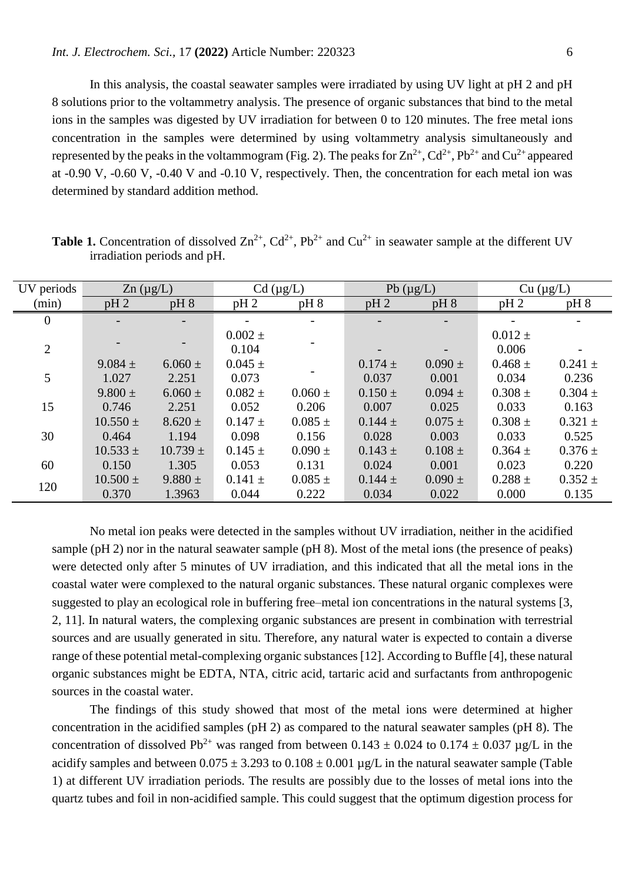In this analysis, the coastal seawater samples were irradiated by using UV light at pH 2 and pH 8 solutions prior to the voltammetry analysis. The presence of organic substances that bind to the metal ions in the samples was digested by UV irradiation for between 0 to 120 minutes. The free metal ions concentration in the samples were determined by using voltammetry analysis simultaneously and represented by the peaks in the voltammogram (Fig. 2). The peaks for  $Zn^{2+}$ ,  $Cd^{2+}$ ,  $Pb^{2+}$  and  $Cu^{2+}$  appeared at -0.90 V, -0.60 V, -0.40 V and -0.10 V, respectively. Then, the concentration for each metal ion was determined by standard addition method.

| UV periods     | $\text{Zn}$ (µg/L)       |              |             | $Cd$ ( $\mu g/L$ ) | Pb $(\mu g/L)$ |             | Cu (µg/L)   |             |
|----------------|--------------------------|--------------|-------------|--------------------|----------------|-------------|-------------|-------------|
| (min)          | $pH_2$                   | $pH_8$       | $pH_2$      | pH 8               | pH2            | $pH_8$      | $pH_2$      | $pH_8$      |
| $\overline{0}$ | $\overline{\phantom{a}}$ |              |             | -                  |                |             |             |             |
|                |                          |              | $0.002 \pm$ |                    |                |             | $0.012 \pm$ |             |
| $\overline{2}$ |                          |              | 0.104       |                    |                |             | 0.006       |             |
|                | $9.084 \pm$              | $6.060 \pm$  | $0.045 \pm$ |                    | $0.174 \pm$    | $0.090 \pm$ | $0.468 \pm$ | $0.241 \pm$ |
| 5              | 1.027                    | 2.251        | 0.073       |                    | 0.037          | 0.001       | 0.034       | 0.236       |
|                | $9.800 \pm$              | $6.060 \pm$  | $0.082 \pm$ | $0.060 \pm$        | $0.150 \pm$    | $0.094 \pm$ | $0.308 \pm$ | $0.304 \pm$ |
| 15             | 0.746                    | 2.251        | 0.052       | 0.206              | 0.007          | 0.025       | 0.033       | 0.163       |
|                | $10.550 \pm$             | $8.620 \pm$  | $0.147 \pm$ | $0.085 \pm$        | $0.144 \pm$    | $0.075 \pm$ | $0.308 \pm$ | $0.321 \pm$ |
| 30             | 0.464                    | 1.194        | 0.098       | 0.156              | 0.028          | 0.003       | 0.033       | 0.525       |
|                | $10.533 \pm$             | $10.739 \pm$ | $0.145 \pm$ | $0.090 \pm$        | $0.143 \pm$    | $0.108 \pm$ | $0.364 \pm$ | $0.376 \pm$ |
| 60             | 0.150                    | 1.305        | 0.053       | 0.131              | 0.024          | 0.001       | 0.023       | 0.220       |
| 120            | $10.500 \pm$             | $9.880 \pm$  | $0.141 \pm$ | $0.085 \pm$        | $0.144 \pm$    | $0.090 \pm$ | $0.288 \pm$ | $0.352 \pm$ |
|                | 0.370                    | 1.3963       | 0.044       | 0.222              | 0.034          | 0.022       | 0.000       | 0.135       |

**Table 1.** Concentration of dissolved  $\text{Zn}^{2+}$ ,  $\text{Cd}^{2+}$ ,  $\text{Pb}^{2+}$  and  $\text{Cu}^{2+}$  in seawater sample at the different UV irradiation periods and pH.

No metal ion peaks were detected in the samples without UV irradiation, neither in the acidified sample (pH 2) nor in the natural seawater sample (pH 8). Most of the metal ions (the presence of peaks) were detected only after 5 minutes of UV irradiation, and this indicated that all the metal ions in the coastal water were complexed to the natural organic substances. These natural organic complexes were suggested to play an ecological role in buffering free–metal ion concentrations in the natural systems [3, 2, 11]. In natural waters, the complexing organic substances are present in combination with terrestrial sources and are usually generated in situ. Therefore, any natural water is expected to contain a diverse range of these potential metal-complexing organic substances [12]. According to Buffle [4], these natural organic substances might be EDTA, NTA, citric acid, tartaric acid and surfactants from anthropogenic sources in the coastal water.

The findings of this study showed that most of the metal ions were determined at higher concentration in the acidified samples (pH 2) as compared to the natural seawater samples (pH 8). The concentration of dissolved Pb<sup>2+</sup> was ranged from between  $0.143 \pm 0.024$  to  $0.174 \pm 0.037$  µg/L in the acidify samples and between  $0.075 \pm 3.293$  to  $0.108 \pm 0.001$  µg/L in the natural seawater sample (Table 1) at different UV irradiation periods. The results are possibly due to the losses of metal ions into the quartz tubes and foil in non-acidified sample. This could suggest that the optimum digestion process for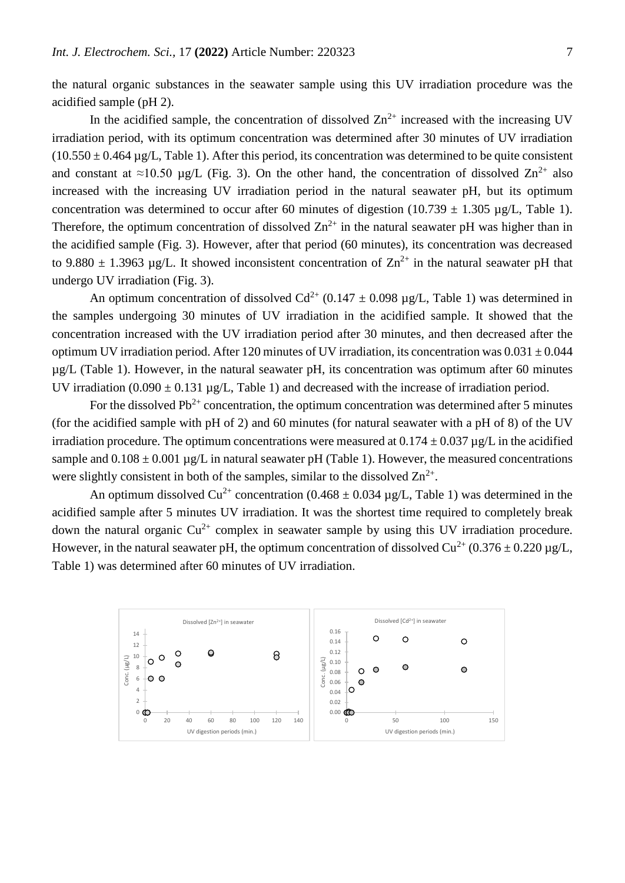the natural organic substances in the seawater sample using this UV irradiation procedure was the acidified sample (pH 2).

In the acidified sample, the concentration of dissolved  $Zn^{2+}$  increased with the increasing UV irradiation period, with its optimum concentration was determined after 30 minutes of UV irradiation  $(10.550 \pm 0.464 \,\mu$ g/L, Table 1). After this period, its concentration was determined to be quite consistent and constant at ≈10.50 µg/L (Fig. 3). On the other hand, the concentration of dissolved  $\text{Zn}^{2+}$  also increased with the increasing UV irradiation period in the natural seawater pH, but its optimum concentration was determined to occur after 60 minutes of digestion (10.739  $\pm$  1.305 µg/L, Table 1). Therefore, the optimum concentration of dissolved  $\text{Zn}^{2+}$  in the natural seawater pH was higher than in the acidified sample (Fig. 3). However, after that period (60 minutes), its concentration was decreased to 9.880  $\pm$  1.3963 µg/L. It showed inconsistent concentration of  $\text{Zn}^{2+}$  in the natural seawater pH that undergo UV irradiation (Fig. 3).

An optimum concentration of dissolved  $Cd^{2+}$  (0.147  $\pm$  0.098 µg/L, Table 1) was determined in the samples undergoing 30 minutes of UV irradiation in the acidified sample. It showed that the concentration increased with the UV irradiation period after 30 minutes, and then decreased after the optimum UV irradiation period. After 120 minutes of UV irradiation, its concentration was  $0.031 \pm 0.044$ µg/L (Table 1). However, in the natural seawater pH, its concentration was optimum after 60 minutes UV irradiation  $(0.090 \pm 0.131 \text{ µg/L}, \text{Table 1})$  and decreased with the increase of irradiation period.

For the dissolved  $Pb^{2+}$  concentration, the optimum concentration was determined after 5 minutes (for the acidified sample with pH of 2) and 60 minutes (for natural seawater with a pH of 8) of the UV irradiation procedure. The optimum concentrations were measured at  $0.174 \pm 0.037$  µg/L in the acidified sample and  $0.108 \pm 0.001$  µg/L in natural seawater pH (Table 1). However, the measured concentrations were slightly consistent in both of the samples, similar to the dissolved  $\mathbb{Z}n^{2+}$ .

An optimum dissolved  $Cu^{2+}$  concentration (0.468  $\pm$  0.034 µg/L, Table 1) was determined in the acidified sample after 5 minutes UV irradiation. It was the shortest time required to completely break down the natural organic  $Cu^{2+}$  complex in seawater sample by using this UV irradiation procedure. However, in the natural seawater pH, the optimum concentration of dissolved  $Cu^{2+}$  (0.376  $\pm$  0.220 ug/L. Table 1) was determined after 60 minutes of UV irradiation.

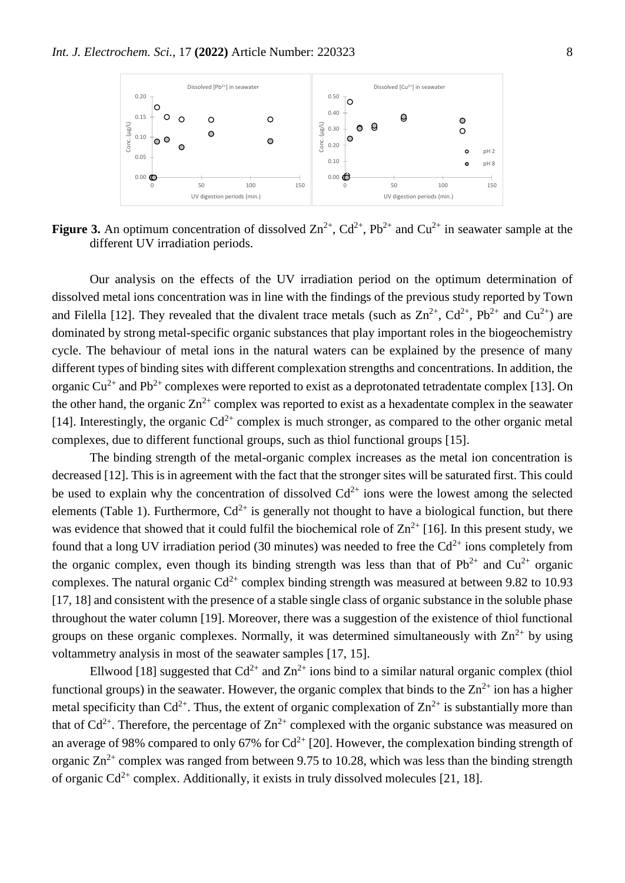

**Figure 3.** An optimum concentration of dissolved  $\text{Zn}^{2+}$ ,  $\text{Cd}^{2+}$ ,  $\text{Pb}^{2+}$  and  $\text{Cu}^{2+}$  in seawater sample at the different UV irradiation periods.

Our analysis on the effects of the UV irradiation period on the optimum determination of dissolved metal ions concentration was in line with the findings of the previous study reported by Town and Filella [12]. They revealed that the divalent trace metals (such as  $Zn^{2+}$ ,  $Cd^{2+}$ ,  $Pb^{2+}$  and  $Cu^{2+}$ ) are dominated by strong metal-specific organic substances that play important roles in the biogeochemistry cycle. The behaviour of metal ions in the natural waters can be explained by the presence of many different types of binding sites with different complexation strengths and concentrations. In addition, the organic  $Cu^{2+}$  and Pb<sup>2+</sup> complexes were reported to exist as a deprotonated tetradentate complex [13]. On the other hand, the organic  $Zn^{2+}$  complex was reported to exist as a hexadentate complex in the seawater [14]. Interestingly, the organic  $Cd^{2+}$  complex is much stronger, as compared to the other organic metal complexes, due to different functional groups, such as thiol functional groups [15].

The binding strength of the metal-organic complex increases as the metal ion concentration is decreased [12]. This is in agreement with the fact that the stronger sites will be saturated first. This could be used to explain why the concentration of dissolved  $Cd^{2+}$  ions were the lowest among the selected elements (Table 1). Furthermore,  $Cd^{2+}$  is generally not thought to have a biological function, but there was evidence that showed that it could fulfil the biochemical role of  $\text{Zn}^{2+}$  [16]. In this present study, we found that a long UV irradiation period (30 minutes) was needed to free the  $Cd^{2+}$  ions completely from the organic complex, even though its binding strength was less than that of  $Pb^{2+}$  and  $Cu^{2+}$  organic complexes. The natural organic  $Cd^{2+}$  complex binding strength was measured at between 9.82 to 10.93 [17, 18] and consistent with the presence of a stable single class of organic substance in the soluble phase throughout the water column [19]. Moreover, there was a suggestion of the existence of thiol functional groups on these organic complexes. Normally, it was determined simultaneously with  $\text{Zn}^{2+}$  by using voltammetry analysis in most of the seawater samples [17, 15].

Ellwood [18] suggested that  $Cd^{2+}$  and  $Zn^{2+}$  ions bind to a similar natural organic complex (thiol functional groups) in the seawater. However, the organic complex that binds to the  $\text{Zn}^{2+}$  ion has a higher metal specificity than  $Cd^{2+}$ . Thus, the extent of organic complexation of  $Zn^{2+}$  is substantially more than that of  $Cd^{2+}$ . Therefore, the percentage of  $Zn^{2+}$  complexed with the organic substance was measured on an average of 98% compared to only 67% for  $Cd^{2+}$  [20]. However, the complexation binding strength of organic  $Zn^{2+}$  complex was ranged from between 9.75 to 10.28, which was less than the binding strength of organic  $Cd^{2+}$  complex. Additionally, it exists in truly dissolved molecules [21, 18].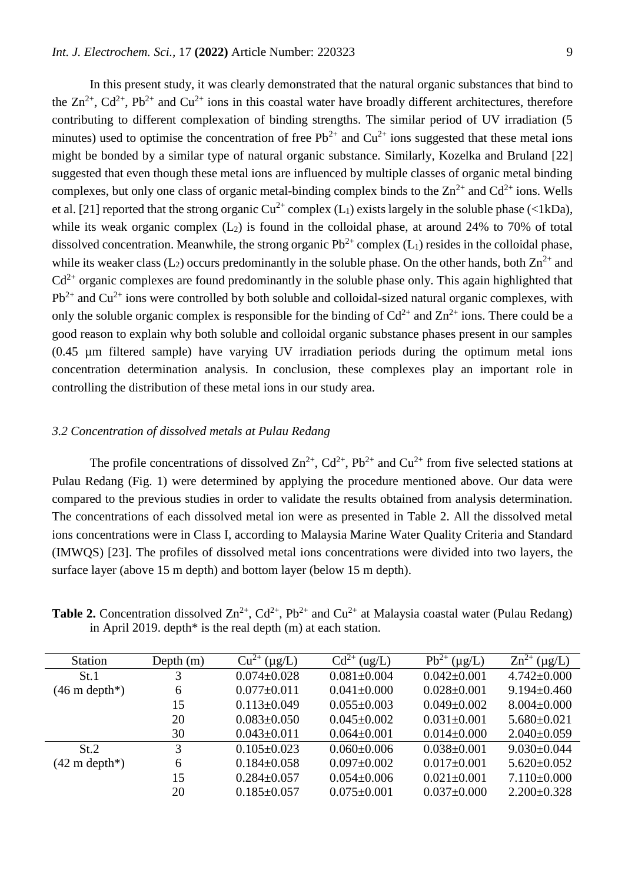In this present study, it was clearly demonstrated that the natural organic substances that bind to the  $Zn^{2+}$ ,  $Cd^{2+}$ ,  $Pb^{2+}$  and  $Cu^{2+}$  ions in this coastal water have broadly different architectures, therefore contributing to different complexation of binding strengths. The similar period of UV irradiation (5 minutes) used to optimise the concentration of free  $Pb^{2+}$  and  $Cu^{2+}$  ions suggested that these metal ions might be bonded by a similar type of natural organic substance. Similarly, Kozelka and Bruland [22] suggested that even though these metal ions are influenced by multiple classes of organic metal binding complexes, but only one class of organic metal-binding complex binds to the  $Zn^{2+}$  and  $Cd^{2+}$  ions. Wells et al. [21] reported that the strong organic  $Cu^{2+}$  complex (L<sub>1</sub>) exists largely in the soluble phase (<1kDa), while its weak organic complex  $(L_2)$  is found in the colloidal phase, at around 24% to 70% of total dissolved concentration. Meanwhile, the strong organic  $Pb^{2+}$  complex (L<sub>1</sub>) resides in the colloidal phase, while its weaker class ( $L_2$ ) occurs predominantly in the soluble phase. On the other hands, both  $Zn^{2+}$  and  $Cd^{2+}$  organic complexes are found predominantly in the soluble phase only. This again highlighted that  $Pb^{2+}$  and  $Cu^{2+}$  ions were controlled by both soluble and colloidal-sized natural organic complexes, with only the soluble organic complex is responsible for the binding of  $Cd^{2+}$  and  $Zn^{2+}$  ions. There could be a good reason to explain why both soluble and colloidal organic substance phases present in our samples (0.45 µm filtered sample) have varying UV irradiation periods during the optimum metal ions concentration determination analysis. In conclusion, these complexes play an important role in controlling the distribution of these metal ions in our study area.

# *3.2 Concentration of dissolved metals at Pulau Redang*

The profile concentrations of dissolved  $Zn^{2+}$ ,  $Cd^{2+}$ ,  $Pb^{2+}$  and  $Cu^{2+}$  from five selected stations at Pulau Redang (Fig. 1) were determined by applying the procedure mentioned above. Our data were compared to the previous studies in order to validate the results obtained from analysis determination. The concentrations of each dissolved metal ion were as presented in Table 2. All the dissolved metal ions concentrations were in Class I, according to Malaysia Marine Water Quality Criteria and Standard (IMWQS) [23]. The profiles of dissolved metal ions concentrations were divided into two layers, the surface layer (above 15 m depth) and bottom layer (below 15 m depth).

**Table 2.** Concentration dissolved  $\text{Zn}^{2+}$ ,  $\text{Cd}^{2+}$ ,  $\text{Pb}^{2+}$  and  $\text{Cu}^{2+}$  at Malaysia coastal water (Pulau Redang) in April 2019. depth $*$  is the real depth (m) at each station.

| <b>Station</b>          | Depth $(m)$ | $Cu^{2+}(\mu g/L)$ | $Cd^{2+}$<br>(ug/L) | $Pb^{2+}$<br>$(\mu g/L)$ | $Zn^{2+}$<br>$(\mu g/L)$ |
|-------------------------|-------------|--------------------|---------------------|--------------------------|--------------------------|
| St.1                    | 3           | $0.074 \pm 0.028$  | $0.081 \pm 0.004$   | $0.042 \pm 0.001$        | $4.742 \pm 0.000$        |
| $(46 \text{ m depth*})$ | 6           | $0.077 \pm 0.011$  | $0.041 \pm 0.000$   | $0.028 \pm 0.001$        | $9.194 \pm 0.460$        |
|                         | 15          | $0.113 \pm 0.049$  | $0.055 \pm 0.003$   | $0.049 \pm 0.002$        | $8.004 \pm 0.000$        |
|                         | 20          | $0.083 \pm 0.050$  | $0.045 \pm 0.002$   | $0.031 \pm 0.001$        | $5.680 \pm 0.021$        |
|                         | 30          | $0.043 \pm 0.011$  | $0.064 \pm 0.001$   | $0.014 \pm 0.000$        | $2.040\pm0.059$          |
| St.2                    | 3           | $0.105 \pm 0.023$  | $0.060 \pm 0.006$   | $0.038 \pm 0.001$        | $9.030 \pm 0.044$        |
| $(42 \text{ m depth*})$ | 6           | $0.184 \pm 0.058$  | $0.097 \pm 0.002$   | $0.017 \pm 0.001$        | $5.620 \pm 0.052$        |
|                         | 15          | $0.284 \pm 0.057$  | $0.054 \pm 0.006$   | $0.021 \pm 0.001$        | $7.110\pm0.000$          |
|                         | 20          | $0.185 \pm 0.057$  | $0.075 \pm 0.001$   | $0.037 \pm 0.000$        | $2.200 \pm 0.328$        |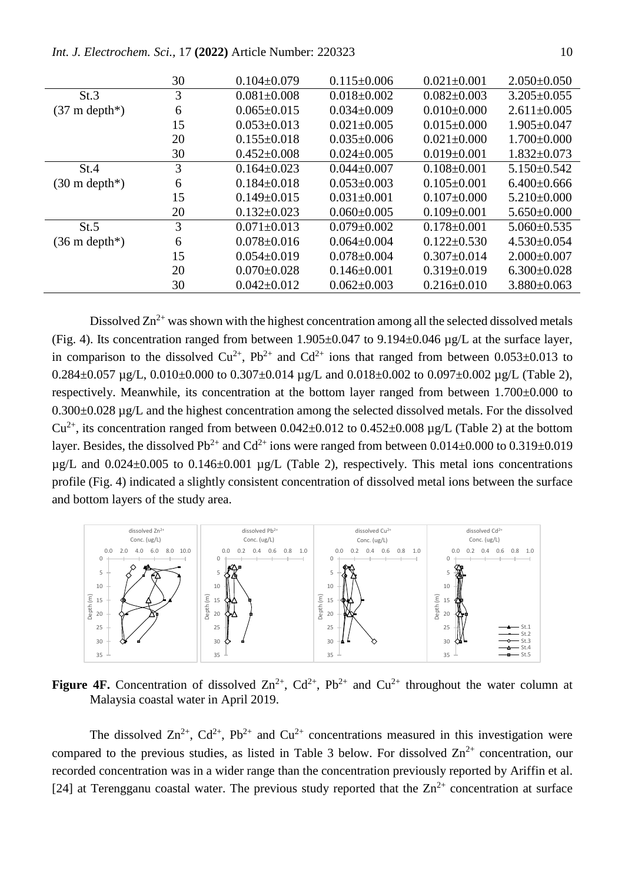*Int. J. Electrochem. Sci.,* 17 **(2022)** Article Number: 220323 10

|                         | 30 | $0.104 \pm 0.079$ | $0.115 \pm 0.006$ | $0.021 \pm 0.001$ | $2.050\pm0.050$   |
|-------------------------|----|-------------------|-------------------|-------------------|-------------------|
| St.3                    | 3  | $0.081 \pm 0.008$ | $0.018 \pm 0.002$ | $0.082 \pm 0.003$ | $3.205 \pm 0.055$ |
| $(37 \text{ m depth*})$ | 6  | $0.065 \pm 0.015$ | $0.034 \pm 0.009$ | $0.010\pm0.000$   | $2.611 \pm 0.005$ |
|                         | 15 | $0.053 \pm 0.013$ | $0.021 \pm 0.005$ | $0.015 \pm 0.000$ | $1.905 \pm 0.047$ |
|                         | 20 | $0.155 \pm 0.018$ | $0.035 \pm 0.006$ | $0.021 \pm 0.000$ | $1.700 \pm 0.000$ |
|                         | 30 | $0.452 \pm 0.008$ | $0.024 \pm 0.005$ | $0.019 \pm 0.001$ | $1.832 \pm 0.073$ |
| St.4                    | 3  | $0.164 \pm 0.023$ | $0.044 \pm 0.007$ | $0.108 \pm 0.001$ | $5.150 \pm 0.542$ |
| $(30 \text{ m depth*})$ | 6  | $0.184 \pm 0.018$ | $0.053 \pm 0.003$ | $0.105 \pm 0.001$ | $6.400\pm0.666$   |
|                         | 15 | $0.149 \pm 0.015$ | $0.031 \pm 0.001$ | $0.107 \pm 0.000$ | $5.210\pm0.000$   |
|                         | 20 | $0.132 \pm 0.023$ | $0.060 \pm 0.005$ | $0.109 \pm 0.001$ | $5.650\pm0.000$   |
| St.5                    | 3  | $0.071 \pm 0.013$ | $0.079 \pm 0.002$ | $0.178 \pm 0.001$ | $5.060 \pm 0.535$ |
| $(36 \text{ m depth*})$ | 6  | $0.078 \pm 0.016$ | $0.064 \pm 0.004$ | $0.122 \pm 0.530$ | $4.530\pm0.054$   |
|                         | 15 | $0.054 \pm 0.019$ | $0.078 \pm 0.004$ | $0.307 \pm 0.014$ | $2.000 \pm 0.007$ |
|                         | 20 | $0.070 \pm 0.028$ | $0.146 \pm 0.001$ | $0.319 \pm 0.019$ | $6.300\pm0.028$   |
|                         | 30 | $0.042 \pm 0.012$ | $0.062 \pm 0.003$ | $0.216 \pm 0.010$ | $3.880\pm0.063$   |

Dissolved  $\text{Zn}^{2+}$  was shown with the highest concentration among all the selected dissolved metals (Fig. 4). Its concentration ranged from between  $1.905\pm0.047$  to  $9.194\pm0.046$  µg/L at the surface layer, in comparison to the dissolved  $Cu^{2+}$ , Pb<sup>2+</sup> and  $Cd^{2+}$  ions that ranged from between 0.053 $\pm$ 0.013 to  $0.284 \pm 0.057$  µg/L,  $0.010 \pm 0.000$  to  $0.307 \pm 0.014$  µg/L and  $0.018 \pm 0.002$  to  $0.097 \pm 0.002$  µg/L (Table 2), respectively. Meanwhile, its concentration at the bottom layer ranged from between 1.700±0.000 to 0.300±0.028 µg/L and the highest concentration among the selected dissolved metals. For the dissolved  $Cu^{2+}$ , its concentration ranged from between 0.042±0.012 to 0.452±0.008 µg/L (Table 2) at the bottom layer. Besides, the dissolved Pb<sup>2+</sup> and Cd<sup>2+</sup> ions were ranged from between 0.014±0.000 to 0.319±0.019  $\mu$ g/L and 0.024 $\pm$ 0.005 to 0.146 $\pm$ 0.001  $\mu$ g/L (Table 2), respectively. This metal ions concentrations profile (Fig. 4) indicated a slightly consistent concentration of dissolved metal ions between the surface and bottom layers of the study area.



**Figure 4F.** Concentration of dissolved  $\text{Zn}^{2+}$ ,  $\text{Cd}^{2+}$ ,  $\text{Pb}^{2+}$  and  $\text{Cu}^{2+}$  throughout the water column at Malaysia coastal water in April 2019.

The dissolved  $\text{Zn}^{2+}$ ,  $\text{Cd}^{2+}$ ,  $\text{Pb}^{2+}$  and  $\text{Cu}^{2+}$  concentrations measured in this investigation were compared to the previous studies, as listed in Table 3 below. For dissolved  $\text{Zn}^{2+}$  concentration, our recorded concentration was in a wider range than the concentration previously reported by Ariffin et al. [24] at Terengganu coastal water. The previous study reported that the  $Zn^{2+}$  concentration at surface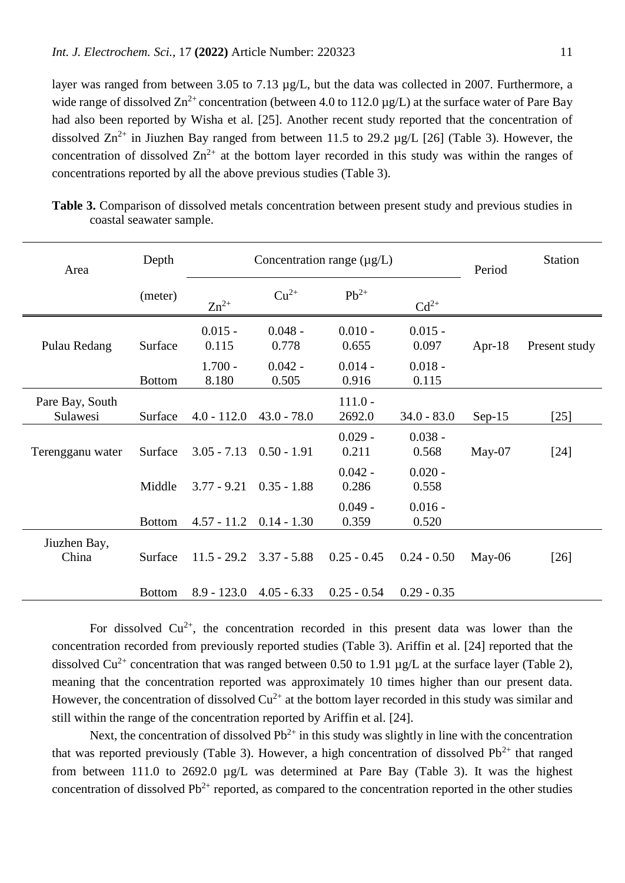layer was ranged from between 3.05 to 7.13 µg/L, but the data was collected in 2007. Furthermore, a wide range of dissolved  $\text{Zn}^{2+}$  concentration (between 4.0 to 112.0 µg/L) at the surface water of Pare Bay had also been reported by Wisha et al. [25]. Another recent study reported that the concentration of dissolved  $Zn^{2+}$  in Jiuzhen Bay ranged from between 11.5 to 29.2 ug/L [26] (Table 3). However, the concentration of dissolved  $\text{Zn}^{2+}$  at the bottom layer recorded in this study was within the ranges of concentrations reported by all the above previous studies (Table 3).

| Area                        | Depth                    |                                          | Concentration range $(\mu g/L)$          | Period                                   | <b>Station</b>                           |          |               |
|-----------------------------|--------------------------|------------------------------------------|------------------------------------------|------------------------------------------|------------------------------------------|----------|---------------|
|                             | (meter)                  | $Zn^{2+}$                                | $Cu2+$                                   | $Pb^{2+}$                                | $Cd^{2+}$                                |          |               |
| Pulau Redang                | Surface<br><b>Bottom</b> | $0.015 -$<br>0.115<br>$1.700 -$<br>8.180 | $0.048 -$<br>0.778<br>$0.042 -$<br>0.505 | $0.010 -$<br>0.655<br>$0.014 -$<br>0.916 | $0.015 -$<br>0.097<br>$0.018 -$<br>0.115 | Apr-18   | Present study |
| Pare Bay, South<br>Sulawesi | Surface                  | $4.0 - 112.0$                            | $43.0 - 78.0$                            | $111.0 -$<br>2692.0                      | $34.0 - 83.0$                            | $Sep-15$ | $[25]$        |
| Terengganu water            | Surface                  | $3.05 - 7.13$                            | $0.50 - 1.91$                            | $0.029 -$<br>0.211                       | $0.038 -$<br>0.568                       | $May-07$ | $[24]$        |
|                             | Middle                   | $3.77 - 9.21$                            | $0.35 - 1.88$                            | $0.042 -$<br>0.286                       | $0.020 -$<br>0.558                       |          |               |
|                             | <b>Bottom</b>            | $4.57 - 11.2$                            | $0.14 - 1.30$                            | $0.049 -$<br>0.359                       | $0.016 -$<br>0.520                       |          |               |
| Jiuzhen Bay,<br>China       | Surface                  | $11.5 - 29.2$                            | $3.37 - 5.88$                            | $0.25 - 0.45$                            | $0.24 - 0.50$                            | $May-06$ | $[26]$        |
|                             | <b>Bottom</b>            | $8.9 - 123.0$                            | $4.05 - 6.33$                            | $0.25 - 0.54$                            | $0.29 - 0.35$                            |          |               |

**Table 3.** Comparison of dissolved metals concentration between present study and previous studies in coastal seawater sample.

For dissolved  $Cu^{2+}$ , the concentration recorded in this present data was lower than the concentration recorded from previously reported studies (Table 3). Ariffin et al. [24] reported that the dissolved Cu<sup>2+</sup> concentration that was ranged between 0.50 to 1.91  $\mu$ g/L at the surface layer (Table 2), meaning that the concentration reported was approximately 10 times higher than our present data. However, the concentration of dissolved  $Cu^{2+}$  at the bottom layer recorded in this study was similar and still within the range of the concentration reported by Ariffin et al. [24].

Next, the concentration of dissolved  $Pb^{2+}$  in this study was slightly in line with the concentration that was reported previously (Table 3). However, a high concentration of dissolved  $Pb^{2+}$  that ranged from between 111.0 to 2692.0 µg/L was determined at Pare Bay (Table 3). It was the highest concentration of dissolved  $Pb^{2+}$  reported, as compared to the concentration reported in the other studies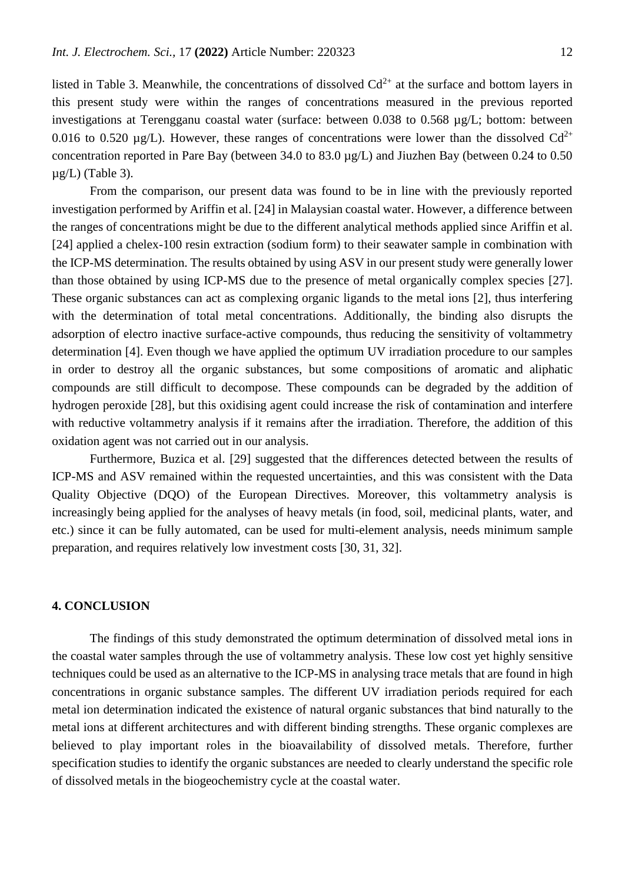listed in Table 3. Meanwhile, the concentrations of dissolved  $Cd^{2+}$  at the surface and bottom layers in this present study were within the ranges of concentrations measured in the previous reported investigations at Terengganu coastal water (surface: between 0.038 to 0.568 µg/L; bottom: between 0.016 to 0.520  $\mu$ g/L). However, these ranges of concentrations were lower than the dissolved Cd<sup>2+</sup> concentration reported in Pare Bay (between 34.0 to 83.0 µg/L) and Jiuzhen Bay (between 0.24 to 0.50  $\mu$ g/L) (Table 3).

From the comparison, our present data was found to be in line with the previously reported investigation performed by Ariffin et al. [24] in Malaysian coastal water. However, a difference between the ranges of concentrations might be due to the different analytical methods applied since Ariffin et al. [24] applied a chelex-100 resin extraction (sodium form) to their seawater sample in combination with the ICP-MS determination. The results obtained by using ASV in our present study were generally lower than those obtained by using ICP-MS due to the presence of metal organically complex species [27]. These organic substances can act as complexing organic ligands to the metal ions [2], thus interfering with the determination of total metal concentrations. Additionally, the binding also disrupts the adsorption of electro inactive surface-active compounds, thus reducing the sensitivity of voltammetry determination [4]. Even though we have applied the optimum UV irradiation procedure to our samples in order to destroy all the organic substances, but some compositions of aromatic and aliphatic compounds are still difficult to decompose. These compounds can be degraded by the addition of hydrogen peroxide [28], but this oxidising agent could increase the risk of contamination and interfere with reductive voltammetry analysis if it remains after the irradiation. Therefore, the addition of this oxidation agent was not carried out in our analysis.

Furthermore, Buzica et al. [29] suggested that the differences detected between the results of ICP-MS and ASV remained within the requested uncertainties, and this was consistent with the Data Quality Objective (DQO) of the European Directives. Moreover, this voltammetry analysis is increasingly being applied for the analyses of heavy metals (in food, soil, medicinal plants, water, and etc.) since it can be fully automated, can be used for multi-element analysis, needs minimum sample preparation, and requires relatively low investment costs [30, 31, 32].

# **4. CONCLUSION**

The findings of this study demonstrated the optimum determination of dissolved metal ions in the coastal water samples through the use of voltammetry analysis. These low cost yet highly sensitive techniques could be used as an alternative to the ICP-MS in analysing trace metals that are found in high concentrations in organic substance samples. The different UV irradiation periods required for each metal ion determination indicated the existence of natural organic substances that bind naturally to the metal ions at different architectures and with different binding strengths. These organic complexes are believed to play important roles in the bioavailability of dissolved metals. Therefore, further specification studies to identify the organic substances are needed to clearly understand the specific role of dissolved metals in the biogeochemistry cycle at the coastal water.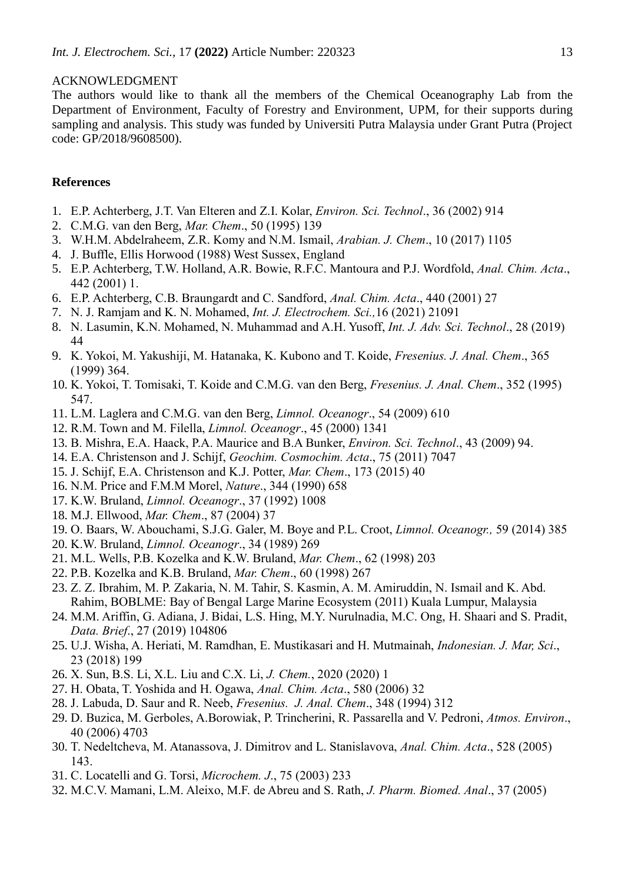## ACKNOWLEDGMENT

The authors would like to thank all the members of the Chemical Oceanography Lab from the Department of Environment, Faculty of Forestry and Environment, UPM, for their supports during sampling and analysis. This study was funded by Universiti Putra Malaysia under Grant Putra (Project code: GP/2018/9608500).

#### **References**

- 1. E.P. Achterberg, J.T. Van Elteren and Z.I. Kolar, *Environ. Sci. Technol*., 36 (2002) 914
- 2. C.M.G. van den Berg, *Mar. Chem*., 50 (1995) 139
- 3. W.H.M. Abdelraheem, Z.R. Komy and N.M. Ismail, *Arabian. J. Chem*., 10 (2017) 1105
- 4. J. Buffle, Ellis Horwood (1988) West Sussex, England
- 5. E.P. Achterberg, T.W. Holland, A.R. Bowie, R.F.C. Mantoura and P.J. Wordfold, *Anal. Chim. Acta*., 442 (2001) 1.
- 6. E.P. Achterberg, C.B. Braungardt and C. Sandford, *Anal. Chim. Acta*., 440 (2001) 27
- 7. N. J. Ramjam and K. N. Mohamed, *Int. J. Electrochem. Sci.,*16 (2021) 21091
- 8. N. Lasumin, K.N. Mohamed, N. Muhammad and A.H. Yusoff, *Int. J. Adv. Sci. Technol*., 28 (2019) 44
- 9. K. Yokoi, M. Yakushiji, M. Hatanaka, K. Kubono and T. Koide, *Fresenius. J. Anal. Chem*., 365 (1999) 364.
- 10. K. Yokoi, T. Tomisaki, T. Koide and C.M.G. van den Berg, *Fresenius. J. Anal. Chem*., 352 (1995) 547.
- 11. L.M. Laglera and C.M.G. van den Berg, *Limnol. Oceanogr*., 54 (2009) 610
- 12. R.M. Town and M. Filella, *Limnol. Oceanogr*., 45 (2000) 1341
- 13. B. Mishra, E.A. Haack, P.A. Maurice and B.A Bunker, *Environ. Sci. Technol*., 43 (2009) 94.
- 14. E.A. Christenson and J. Schijf, *Geochim. Cosmochim. Acta*., 75 (2011) 7047
- 15. J. Schijf, E.A. Christenson and K.J. Potter, *Mar. Chem*., 173 (2015) 40
- 16. N.M. Price and F.M.M Morel, *Nature*., 344 (1990) 658
- 17. K.W. Bruland, *Limnol. Oceanogr*., 37 (1992) 1008
- 18. M.J. Ellwood, *Mar. Chem*., 87 (2004) 37
- 19. O. Baars, W. Abouchami, S.J.G. Galer, M. Boye and P.L. Croot, *Limnol. Oceanogr.,* 59 (2014) 385
- 20. K.W. Bruland, *Limnol. Oceanogr*., 34 (1989) 269
- 21. M.L. Wells, P.B. Kozelka and K.W. Bruland, *Mar. Chem*., 62 (1998) 203
- 22. P.B. Kozelka and K.B. Bruland, *Mar. Chem*., 60 (1998) 267
- 23. Z. Z. Ibrahim, M. P. Zakaria, N. M. Tahir, S. Kasmin, A. M. Amiruddin, N. Ismail and K. Abd. Rahim, BOBLME: Bay of Bengal Large Marine Ecosystem (2011) Kuala Lumpur, Malaysia
- 24. M.M. Ariffin, G. Adiana, J. Bidai, L.S. Hing, M.Y. Nurulnadia, M.C. Ong, H. Shaari and S. Pradit, *Data. Brief*., 27 (2019) 104806
- 25. U.J. Wisha, A. Heriati, M. Ramdhan, E. Mustikasari and H. Mutmainah, *Indonesian. J. Mar, Sci*., 23 (2018) 199
- 26. X. Sun, B.S. Li, X.L. Liu and C.X. Li, *J. Chem.*, 2020 (2020) 1
- 27. H. Obata, T. Yoshida and H. Ogawa, *Anal. Chim. Acta*., 580 (2006) 32
- 28. J. Labuda, D. Saur and R. Neeb, *Fresenius. J. Anal. Chem*., 348 (1994) 312
- 29. D. Buzica, M. Gerboles, A.Borowiak, P. Trincherini, R. Passarella and V. Pedroni, *Atmos. Environ*., 40 (2006) 4703
- 30. T. Nedeltcheva, M. Atanassova, J. Dimitrov and L. Stanislavova, *Anal. Chim. Acta*., 528 (2005) 143.
- 31. C. Locatelli and G. Torsi, *Microchem. J*., 75 (2003) 233
- 32. M.C.V. Mamani, L.M. Aleixo, M.F. de Abreu and S. Rath, *J. Pharm. Biomed. Anal*., 37 (2005)